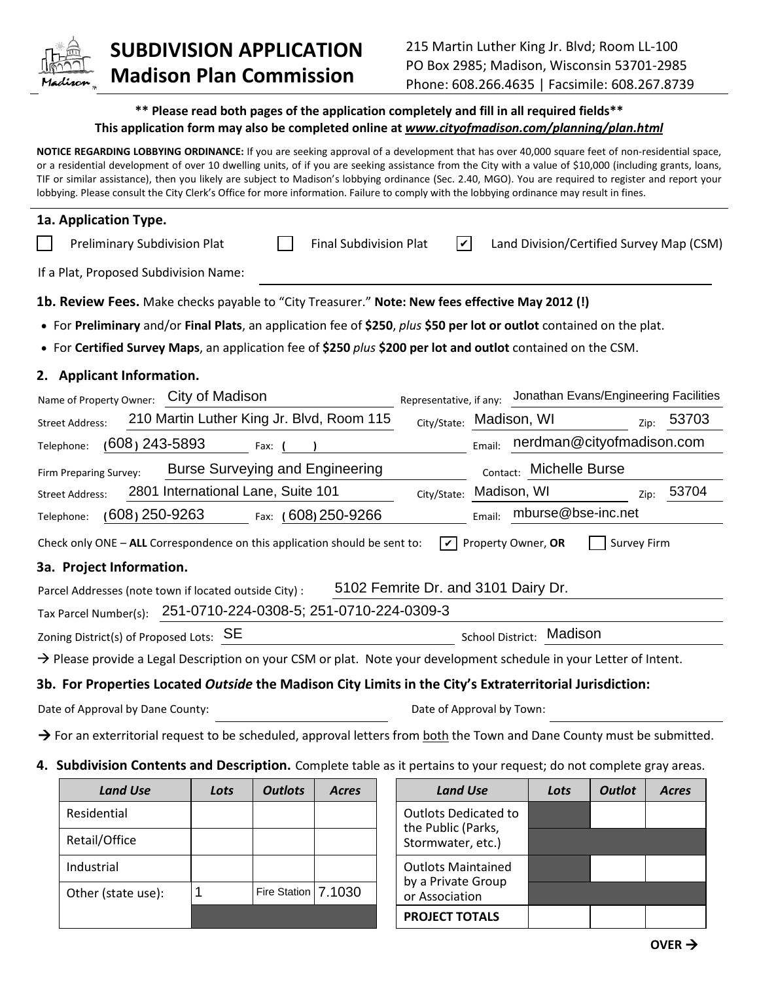

## **SUBDIVISION APPLICATION Madison Plan Commission**

## **\*\* Please read both pages of the application completely and fill in all required fields\*\* This application form may also be completed online at** *www.cityofmadison.com/planning/plan.html*

**NOTICE REGARDING LOBBYING ORDINANCE:** If you are seeking approval of a development that has over 40,000 square feet of non-residential space, or a residential development of over 10 dwelling units, of if you are seeking assistance from the City with a value of \$10,000 (including grants, loans, TIF or similar assistance), then you likely are subject to Madison's lobbying ordinance (Sec. 2.40, MGO). You are required to register and report your lobbying. Please consult the City Clerk's Office for more information. Failure to comply with the lobbying ordinance may result in fines.

| 1a. Application Type.                                                                                                              |                                           |  |                               |                                     |        |                                          |                    |       |
|------------------------------------------------------------------------------------------------------------------------------------|-------------------------------------------|--|-------------------------------|-------------------------------------|--------|------------------------------------------|--------------------|-------|
| Preliminary Subdivision Plat                                                                                                       |                                           |  | <b>Final Subdivision Plat</b> | $\blacktriangledown$                |        | Land Division/Certified Survey Map (CSM) |                    |       |
| If a Plat, Proposed Subdivision Name:                                                                                              |                                           |  |                               |                                     |        |                                          |                    |       |
| 1b. Review Fees. Make checks payable to "City Treasurer." Note: New fees effective May 2012 (!)                                    |                                           |  |                               |                                     |        |                                          |                    |       |
| • For Preliminary and/or Final Plats, an application fee of \$250, plus \$50 per lot or outlot contained on the plat.              |                                           |  |                               |                                     |        |                                          |                    |       |
| • For Certified Survey Maps, an application fee of \$250 plus \$200 per lot and outlot contained on the CSM.                       |                                           |  |                               |                                     |        |                                          |                    |       |
| 2. Applicant Information.                                                                                                          |                                           |  |                               |                                     |        |                                          |                    |       |
| Name of Property Owner: City of Madison                                                                                            |                                           |  |                               | Representative, if any:             |        | Jonathan Evans/Engineering Facilities    |                    |       |
| <b>Street Address:</b>                                                                                                             | 210 Martin Luther King Jr. Blvd, Room 115 |  |                               | City/State: Madison, WI             |        |                                          | Zip:               | 53703 |
| $(608)$ 243-5893<br>Telephone:                                                                                                     | Fax: $($                                  |  |                               |                                     | Email: | nerdman@cityofmadison.com                |                    |       |
| Firm Preparing Survey:                                                                                                             | <b>Burse Surveying and Engineering</b>    |  |                               |                                     |        | Contact: Michelle Burse                  |                    |       |
| <b>Street Address:</b>                                                                                                             | 2801 International Lane, Suite 101        |  |                               | City/State:                         |        | Madison, WI                              | Zip:               | 53704 |
| $(608)$ 250-9263<br>Telephone:                                                                                                     |                                           |  | Fax: (608) 250-9266           |                                     | Email: | mburse@bse-inc.net                       |                    |       |
| Check only ONE - ALL Correspondence on this application should be sent to:                                                         |                                           |  |                               | ا ۱۷                                |        | Property Owner, OR                       | <b>Survey Firm</b> |       |
| 3a. Project Information.                                                                                                           |                                           |  |                               |                                     |        |                                          |                    |       |
| Parcel Addresses (note town if located outside City) :                                                                             |                                           |  |                               | 5102 Femrite Dr. and 3101 Dairy Dr. |        |                                          |                    |       |
| Tax Parcel Number(s):                                                                                                              | 251-0710-224-0308-5; 251-0710-224-0309-3  |  |                               |                                     |        |                                          |                    |       |
| Zoning District(s) of Proposed Lots: SE                                                                                            |                                           |  |                               |                                     |        | School District: Madison                 |                    |       |
| $\rightarrow$ Please provide a Legal Description on your CSM or plat. Note your development schedule in your Letter of Intent.     |                                           |  |                               |                                     |        |                                          |                    |       |
| 3b. For Properties Located Outside the Madison City Limits in the City's Extraterritorial Jurisdiction:                            |                                           |  |                               |                                     |        |                                          |                    |       |
| Date of Approval by Dane County:                                                                                                   |                                           |  | Date of Approval by Town:     |                                     |        |                                          |                    |       |
| $\rightarrow$ For an exterritorial request to be scheduled, approval letters from both the Town and Dane County must be submitted. |                                           |  |                               |                                     |        |                                          |                    |       |

## **4. Subdivision Contents and Description.** Complete table as it pertains to your request; do not complete gray areas.

| <b>Land Use</b>    | Lots | <b>Outlots</b>      | <b>Acres</b> | <b>Land Use</b>                                   | Lots | <b>Outlot</b> | <b>Acres</b> |
|--------------------|------|---------------------|--------------|---------------------------------------------------|------|---------------|--------------|
| Residential        |      |                     |              | <b>Outlots Dedicated to</b><br>the Public (Parks, |      |               |              |
| Retail/Office      |      |                     |              | Stormwater, etc.)                                 |      |               |              |
| Industrial         |      |                     |              | <b>Outlots Maintained</b>                         |      |               |              |
| Other (state use): |      | Fire Station 7.1030 |              | by a Private Group<br>or Association              |      |               |              |
|                    |      |                     |              | <b>PROJECT TOTALS</b>                             |      |               |              |